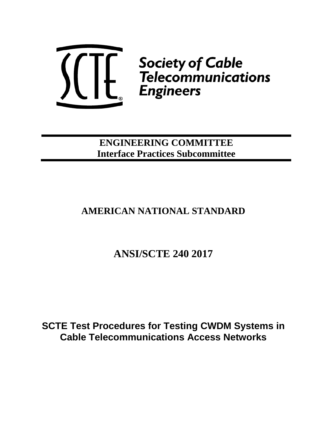

**ENGINEERING COMMITTEE Interface Practices Subcommittee**

# **AMERICAN NATIONAL STANDARD**

# **ANSI/SCTE 240 2017**

**SCTE Test Procedures for Testing CWDM Systems in Cable Telecommunications Access Networks**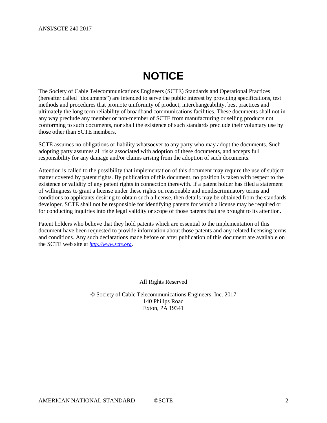# **NOTICE**

<span id="page-1-0"></span>The Society of Cable Telecommunications Engineers (SCTE) Standards and Operational Practices (hereafter called "documents") are intended to serve the public interest by providing specifications, test methods and procedures that promote uniformity of product, interchangeability, best practices and ultimately the long term reliability of broadband communications facilities. These documents shall not in any way preclude any member or non-member of SCTE from manufacturing or selling products not conforming to such documents, nor shall the existence of such standards preclude their voluntary use by those other than SCTE members.

SCTE assumes no obligations or liability whatsoever to any party who may adopt the documents. Such adopting party assumes all risks associated with adoption of these documents, and accepts full responsibility for any damage and/or claims arising from the adoption of such documents.

Attention is called to the possibility that implementation of this document may require the use of subject matter covered by patent rights. By publication of this document, no position is taken with respect to the existence or validity of any patent rights in connection therewith. If a patent holder has filed a statement of willingness to grant a license under these rights on reasonable and nondiscriminatory terms and conditions to applicants desiring to obtain such a license, then details may be obtained from the standards developer. SCTE shall not be responsible for identifying patents for which a license may be required or for conducting inquiries into the legal validity or scope of those patents that are brought to its attention.

Patent holders who believe that they hold patents which are essential to the implementation of this document have been requested to provide information about those patents and any related licensing terms and conditions. Any such declarations made before or after publication of this document are available on the SCTE web site at *[http://www.scte.org](http://www.scte.org/)*.

All Rights Reserved

© Society of Cable Telecommunications Engineers, Inc. 2017 140 Philips Road Exton, PA 19341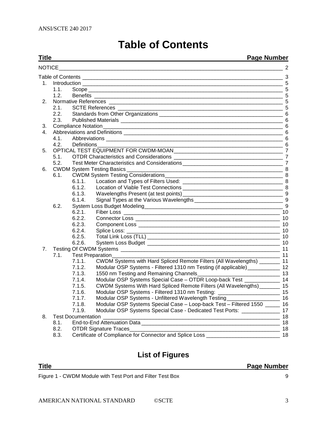|  |  |  | <b>Table of Contents</b> |
|--|--|--|--------------------------|
|--|--|--|--------------------------|

#### <span id="page-2-0"></span>**Title Page Number** NOTICE  $\overline{a}$ Table of Contents [\\_\\_\\_\\_\\_\\_\\_\\_\\_\\_\\_\\_\\_\\_\\_\\_\\_\\_\\_\\_\\_\\_\\_\\_\\_\\_\\_\\_\\_\\_\\_\\_\\_\\_\\_\\_\\_\\_\\_\\_\\_\\_\\_\\_\\_\\_\\_\\_\\_\\_\\_\\_\\_\\_\\_\\_\\_\\_\\_\\_\\_\\_\\_\\_\\_\\_\\_\\_](#page-2-0) 3 1. Introduction [\\_\\_\\_\\_\\_\\_\\_\\_\\_\\_\\_\\_\\_\\_\\_\\_\\_\\_\\_\\_\\_\\_\\_\\_\\_\\_\\_\\_\\_\\_\\_\\_\\_\\_\\_\\_\\_\\_\\_\\_\\_\\_\\_\\_\\_\\_\\_\\_\\_\\_\\_\\_\\_\\_\\_\\_\\_\\_\\_\\_\\_\\_\\_\\_\\_\\_\\_\\_](#page-4-0) 5 1.1. Scope [\\_\\_\\_\\_\\_\\_\\_\\_\\_\\_\\_\\_\\_\\_\\_\\_\\_\\_\\_\\_\\_\\_\\_\\_\\_\\_\\_\\_\\_\\_\\_\\_\\_\\_\\_\\_\\_\\_\\_\\_\\_\\_\\_\\_\\_\\_\\_\\_\\_\\_\\_\\_\\_\\_\\_\\_\\_\\_\\_\\_\\_\\_\\_\\_\\_\\_](#page-4-1) 5 1.2. Benefits [\\_\\_\\_\\_\\_\\_\\_\\_\\_\\_\\_\\_\\_\\_\\_\\_\\_\\_\\_\\_\\_\\_\\_\\_\\_\\_\\_\\_\\_\\_\\_\\_\\_\\_\\_\\_\\_\\_\\_\\_\\_\\_\\_\\_\\_\\_\\_\\_\\_\\_\\_\\_\\_\\_\\_\\_\\_\\_\\_\\_\\_\\_\\_\\_](#page-4-2) 5 2. Normative References [\\_\\_\\_\\_\\_\\_\\_\\_\\_\\_\\_\\_\\_\\_\\_\\_\\_\\_\\_\\_\\_\\_\\_\\_\\_\\_\\_\\_\\_\\_\\_\\_\\_\\_\\_\\_\\_\\_\\_\\_\\_\\_\\_\\_\\_\\_\\_\\_\\_\\_\\_\\_\\_\\_\\_\\_\\_\\_\\_](#page-4-3) 5 2.1. SCTE References [\\_\\_\\_\\_\\_\\_\\_\\_\\_\\_\\_\\_\\_\\_\\_\\_\\_\\_\\_\\_\\_\\_\\_\\_\\_\\_\\_\\_\\_\\_\\_\\_\\_\\_\\_\\_\\_\\_\\_\\_\\_\\_\\_\\_\\_\\_\\_\\_\\_\\_\\_\\_\\_\\_\\_\\_](#page-4-4) 5 2.2. Standards from Other Organizations **Standards** from Other Organizations **Standards Standards Standards Standards Standards Standards Standards Standards Standards Standards Standards Standards** 2.3. Published Materials [\\_\\_\\_\\_\\_\\_\\_\\_\\_\\_\\_\\_\\_\\_\\_\\_\\_\\_\\_\\_\\_\\_\\_\\_\\_\\_\\_\\_\\_\\_\\_\\_\\_\\_\\_\\_\\_\\_\\_\\_\\_\\_\\_\\_\\_\\_\\_\\_\\_\\_\\_\\_\\_\\_\\_](#page-5-1) 6 3. [Compliance Notation\\_\\_\\_\\_\\_\\_\\_\\_\\_\\_\\_\\_\\_\\_\\_\\_\\_\\_\\_\\_\\_\\_\\_\\_\\_\\_\\_\\_\\_\\_\\_\\_\\_\\_\\_\\_\\_\\_\\_\\_\\_\\_\\_\\_\\_\\_\\_\\_\\_\\_\\_\\_\\_\\_\\_\\_\\_\\_\\_\\_\\_](#page-5-2) 6 4. Abbreviations and Definitions [\\_\\_\\_\\_\\_\\_\\_\\_\\_\\_\\_\\_\\_\\_\\_\\_\\_\\_\\_\\_\\_\\_\\_\\_\\_\\_\\_\\_\\_\\_\\_\\_\\_\\_\\_\\_\\_\\_\\_\\_\\_\\_\\_\\_\\_\\_\\_\\_\\_\\_\\_\\_\\_\\_](#page-5-3) 6 4.1. Abbreviations [\\_\\_\\_\\_\\_\\_\\_\\_\\_\\_\\_\\_\\_\\_\\_\\_\\_\\_\\_\\_\\_\\_\\_\\_\\_\\_\\_\\_\\_\\_\\_\\_\\_\\_\\_\\_\\_\\_\\_\\_\\_\\_\\_\\_\\_\\_\\_\\_\\_\\_\\_\\_\\_\\_\\_\\_\\_\\_\\_\\_](#page-5-4) 6  $\overline{\phantom{a}}$  6 5. [OPTICAL TEST EQUIPMENT FOR CWDM-MOAN\\_\\_\\_\\_\\_\\_\\_\\_\\_\\_\\_\\_\\_\\_\\_\\_\\_\\_\\_\\_\\_\\_\\_\\_\\_\\_\\_\\_\\_\\_\\_\\_\\_\\_\\_\\_\\_](#page-6-0) 7 5.1. OTDR Characteristics and Considerations [\\_\\_\\_\\_\\_\\_\\_\\_\\_\\_\\_\\_\\_\\_\\_\\_\\_\\_\\_\\_\\_\\_\\_\\_\\_\\_\\_\\_\\_\\_\\_\\_\\_\\_\\_\\_\\_](#page-6-1) 7 5.2. [Test Meter Characteristics and Considerations](#page-6-2) \_\_\_\_\_\_\_\_\_\_\_\_\_\_\_\_\_\_\_\_\_\_\_\_\_\_\_\_\_\_ 7 6. CWDM System Testing Basics [\\_\\_\\_\\_\\_\\_\\_\\_\\_\\_\\_\\_\\_\\_\\_\\_\\_\\_\\_\\_\\_\\_\\_\\_\\_\\_\\_\\_\\_\\_\\_\\_\\_\\_\\_\\_\\_\\_\\_\\_\\_\\_\\_\\_\\_\\_\\_\\_\\_\\_\\_\\_\\_](#page-7-0) 8 6.1. [CWDM System Testing Considerations\\_\\_\\_\\_\\_\\_\\_\\_\\_\\_\\_\\_\\_\\_\\_\\_\\_\\_\\_\\_\\_\\_\\_\\_\\_\\_\\_\\_\\_\\_\\_\\_\\_\\_\\_\\_\\_\\_\\_\\_](#page-7-1) 8 6.1.1. Location and Types of Filters Used: [\\_\\_\\_\\_\\_\\_\\_\\_\\_\\_\\_\\_\\_\\_\\_\\_\\_\\_\\_\\_\\_\\_\\_\\_\\_\\_\\_\\_\\_\\_\\_\\_\\_\\_](#page-7-2) 8 6.1.2. Location of Viable Test Connections [\\_\\_\\_\\_\\_\\_\\_\\_\\_\\_\\_\\_\\_\\_\\_\\_\\_\\_\\_\\_\\_\\_\\_\\_\\_\\_\\_\\_\\_\\_\\_\\_\\_\\_](#page-7-3) 8 6.1.3. [Wavelengths Present \(at test points\)\\_\\_\\_\\_\\_\\_\\_\\_\\_\\_\\_\\_\\_\\_\\_\\_\\_\\_\\_\\_\\_\\_\\_\\_\\_\\_\\_\\_\\_\\_\\_\\_\\_\\_](#page-8-0) 9 6.1.4. [Signal Types at the Various Wavelengths](#page-8-1) \_\_\_\_\_\_\_\_\_\_\_\_\_\_\_\_\_\_\_\_\_\_\_\_\_\_\_\_\_\_\_\_\_ 9 6.2. System Loss Budget Modeling<br>
6.2.1 Fiber Loss 6.2.1 Fiber Loss 10 6.2.1. Fiber Loss [\\_\\_\\_\\_\\_\\_\\_\\_\\_\\_\\_\\_\\_\\_\\_\\_\\_\\_\\_\\_\\_\\_\\_\\_\\_\\_\\_\\_\\_\\_\\_\\_\\_\\_\\_\\_\\_\\_\\_\\_\\_\\_\\_\\_\\_\\_\\_\\_\\_\\_\\_\\_\\_](#page-9-0) 10 6.2.2. Connector Loss [\\_\\_\\_\\_\\_\\_\\_\\_\\_\\_\\_\\_\\_\\_\\_\\_\\_\\_\\_\\_\\_\\_\\_\\_\\_\\_\\_\\_\\_\\_\\_\\_\\_\\_\\_\\_\\_\\_\\_\\_\\_\\_\\_\\_\\_\\_\\_\\_\\_](#page-9-1) 10 6.2.3. Component Loss [\\_\\_\\_\\_\\_\\_\\_\\_\\_\\_\\_\\_\\_\\_\\_\\_\\_\\_\\_\\_\\_\\_\\_\\_\\_\\_\\_\\_\\_\\_\\_\\_\\_\\_\\_\\_\\_\\_\\_\\_\\_\\_\\_\\_\\_\\_\\_\\_](#page-9-2) 10 6.2.4. Splice Loss: [\\_\\_\\_\\_\\_\\_\\_\\_\\_\\_\\_\\_\\_\\_\\_\\_\\_\\_\\_\\_\\_\\_\\_\\_\\_\\_\\_\\_\\_\\_\\_\\_\\_\\_\\_\\_\\_\\_\\_\\_\\_\\_\\_\\_\\_\\_\\_\\_\\_\\_\\_\\_](#page-9-3) 10 6.2.5. Total Link Loss (TLL) [\\_\\_\\_\\_\\_\\_\\_\\_\\_\\_\\_\\_\\_\\_\\_\\_\\_\\_\\_\\_\\_\\_\\_\\_\\_\\_\\_\\_\\_\\_\\_\\_\\_\\_\\_\\_\\_\\_\\_\\_\\_\\_\\_\\_\\_](#page-9-4) 10 6.2.6. System Loss Budget [\\_\\_\\_\\_\\_\\_\\_\\_\\_\\_\\_\\_\\_\\_\\_\\_\\_\\_\\_\\_\\_\\_\\_\\_\\_\\_\\_\\_\\_\\_\\_\\_\\_\\_\\_\\_\\_\\_\\_\\_\\_\\_\\_\\_\\_](#page-9-5) 10 7. Testing Of CWDM Systems [\\_\\_\\_\\_\\_\\_\\_\\_\\_\\_\\_\\_\\_\\_\\_\\_\\_\\_\\_\\_\\_\\_\\_\\_\\_\\_\\_\\_\\_\\_\\_\\_\\_\\_\\_\\_\\_\\_\\_\\_\\_\\_\\_\\_\\_\\_\\_\\_\\_\\_\\_\\_\\_\\_](#page-10-0) 11 7.1. Test Preparation 7.1.1. [CWDM Systems with Hard Spliced Remote Filters \(All Wavelengths\)](#page-10-2) \_\_\_\_\_\_\_\_ 11<br>7.1.2. Modular OSP Systems - Filtered 1310 nm Testing (if applicable) 12 7.1.2. Modular OSP Systems - [Filtered 1310 nm Testing \(if applicable\)\\_\\_\\_\\_\\_\\_\\_\\_\\_\\_\\_](#page-11-0)\_ 12<br>7.1.3. 1550 nm Testing and Remaining Channels 7.1.3. [1550 nm Testing and Remaining Channels\\_\\_\\_\\_\\_\\_\\_\\_\\_\\_\\_\\_\\_\\_\\_\\_\\_\\_\\_\\_\\_\\_\\_\\_\\_\\_\\_\\_](#page-12-0) 13 7.1.4. [Modular OSP Systems Special Case –](#page-13-0) OTDR Loop-back Test \_\_\_\_\_\_\_\_\_\_\_\_ 14 7.1.5. CWDM Systems With Hard Spliced Remote Filters (All Wavelengths) 15 7.1.6. Modular OSP Systems - Filtered 1310 nm Testing: [\\_\\_\\_\\_\\_\\_\\_\\_\\_\\_\\_\\_\\_\\_\\_\\_\\_\\_\\_\\_\\_](#page-14-1) 15 7.1.7. Modular OSP Systems - [Unfiltered Wavelength Testing\\_\\_\\_\\_\\_\\_\\_\\_\\_\\_\\_\\_\\_\\_\\_\\_\\_\\_](#page-15-0) 16 7.1.8. [Modular OSP Systems Special Case –](#page-15-1) Loop-back Test – Filtered 1550 \_\_\_\_\_ 16 7.1.9. [Modular OSP Systems Special Case -](#page-16-0) Dedicated Test Ports: \_\_\_\_\_\_\_\_\_\_\_\_\_ 17 8. Test Documentation [\\_\\_\\_\\_\\_\\_\\_\\_\\_\\_\\_\\_\\_\\_\\_\\_\\_\\_\\_\\_\\_\\_\\_\\_\\_\\_\\_\\_\\_\\_\\_\\_\\_\\_\\_\\_\\_\\_\\_\\_\\_\\_\\_\\_\\_\\_\\_\\_\\_\\_\\_\\_\\_\\_\\_\\_\\_\\_\\_\\_](#page-17-0) 18 8.1. End-to-End Attenuation Data [\\_\\_\\_\\_\\_\\_\\_\\_\\_\\_\\_\\_\\_\\_\\_\\_\\_\\_\\_\\_\\_\\_\\_\\_\\_\\_\\_\\_\\_\\_\\_\\_\\_\\_\\_\\_\\_\\_\\_\\_\\_\\_\\_\\_\\_\\_\\_](#page-17-1) 18 8.2. [OTDR Signature Traces\\_\\_\\_\\_\\_\\_\\_\\_\\_\\_\\_\\_\\_\\_\\_\\_\\_\\_\\_\\_\\_\\_\\_\\_\\_\\_\\_\\_\\_\\_\\_\\_\\_\\_\\_\\_\\_\\_\\_\\_\\_\\_\\_\\_\\_\\_\\_\\_\\_\\_\\_](#page-17-2) 18

8.3. [Certificate of Compliance for Connector and Splice Loss](#page-17-3) **CONF** 18

# **List of Figures**

**Title Page Number**

Figure 1 - [CWDM Module with Test Port and Filter Test Box](#page-8-3) 9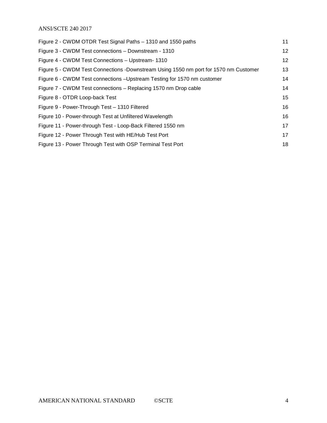#### ANSI/SCTE 240 2017

| Figure 2 - CWDM OTDR Test Signal Paths – 1310 and 1550 paths                         | 11 |
|--------------------------------------------------------------------------------------|----|
| Figure 3 - CWDM Test connections - Downstream - 1310                                 | 12 |
| Figure 4 - CWDM Test Connections - Upstream- 1310                                    | 12 |
| Figure 5 - CWDM Test Connections -Downstream Using 1550 nm port for 1570 nm Customer | 13 |
| Figure 6 - CWDM Test connections - Upstream Testing for 1570 nm customer             | 14 |
| Figure 7 - CWDM Test connections – Replacing 1570 nm Drop cable                      | 14 |
| Figure 8 - OTDR Loop-back Test                                                       | 15 |
| Figure 9 - Power-Through Test - 1310 Filtered                                        | 16 |
| Figure 10 - Power-through Test at Unfiltered Wavelength                              | 16 |
| Figure 11 - Power-through Test - Loop-Back Filtered 1550 nm                          | 17 |
| Figure 12 - Power Through Test with HE/Hub Test Port                                 | 17 |
| Figure 13 - Power Through Test with OSP Terminal Test Port                           | 18 |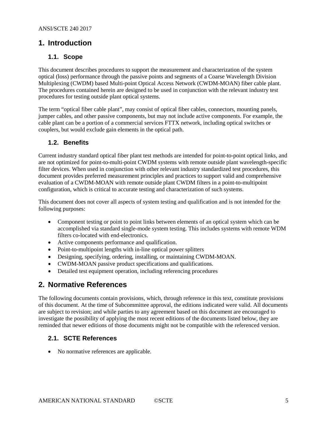### <span id="page-4-1"></span><span id="page-4-0"></span>**1. Introduction**

#### **1.1. Scope**

This document describes procedures to support the measurement and characterization of the system optical (loss) performance through the passive points and segments of a Coarse Wavelength Division Multiplexing (CWDM) based Multi-point Optical Access Network (CWDM-MOAN) fiber cable plant. The procedures contained herein are designed to be used in conjunction with the relevant industry test procedures for testing outside plant optical systems.

The term "optical fiber cable plant", may consist of optical fiber cables, connectors, mounting panels, jumper cables, and other passive components, but may not include active components. For example, the cable plant can be a portion of a commercial services FTTX network, including optical switches or couplers, but would exclude gain elements in the optical path.

#### <span id="page-4-2"></span>**1.2. Benefits**

Current industry standard optical fiber plant test methods are intended for point-to-point optical links, and are not optimized for point-to-multi-point CWDM systems with remote outside plant wavelength-specific filter devices. When used in conjunction with other relevant industry standardized test procedures, this document provides preferred measurement principles and practices to support valid and comprehensive evaluation of a CWDM-MOAN with remote outside plant CWDM filters in a point-to-multipoint configuration, which is critical to accurate testing and characterization of such systems.

This document does not cover all aspects of system testing and qualification and is not intended for the following purposes:

- Component testing or point to point links between elements of an optical system which can be accomplished via standard single-mode system testing. This includes systems with remote WDM filters co-located with end-electronics.
- Active components performance and qualification.
- Point-to-multipoint lengths with in-line optical power splitters
- Designing, specifying, ordering, installing, or maintaining CWDM-MOAN.
- CWDM-MOAN passive product specifications and qualifications.
- Detailed test equipment operation, including referencing procedures

### <span id="page-4-3"></span>**2. Normative References**

The following documents contain provisions, which, through reference in this text, constitute provisions of this document. At the time of Subcommittee approval, the editions indicated were valid. All documents are subject to revision; and while parties to any agreement based on this document are encouraged to investigate the possibility of applying the most recent editions of the documents listed below, they are reminded that newer editions of those documents might not be compatible with the referenced version.

#### <span id="page-4-4"></span>**2.1. SCTE References**

• No normative references are applicable.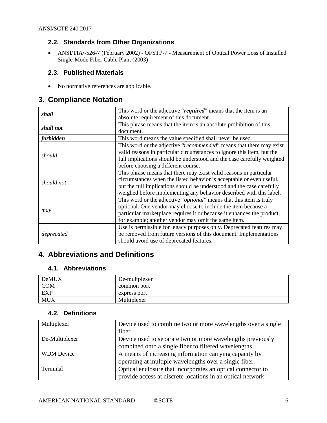#### <span id="page-5-0"></span>**2.2. Standards from Other Organizations**

<span id="page-5-6"></span>• ANSI[/TIA/-526-7](javascript:bluecoat_allow_popup=true;%20popUpWindow() (February 2002) - OFSTP-7 - Measurement of Optical Power Loss of Installed Single-Mode Fiber Cable Plant (2003)

#### <span id="page-5-1"></span>**2.3. Published Materials**

• No normative references are applicable.

## <span id="page-5-2"></span>**3. Compliance Notation**

| shall      | This word or the adjective "required" means that the item is an<br>absolute requirement of this document.                                                                                                                                                                                  |
|------------|--------------------------------------------------------------------------------------------------------------------------------------------------------------------------------------------------------------------------------------------------------------------------------------------|
| shall not  | This phrase means that the item is an absolute prohibition of this<br>document.                                                                                                                                                                                                            |
| forbidden  | This word means the value specified shall never be used.                                                                                                                                                                                                                                   |
| should     | This word or the adjective "recommended" means that there may exist<br>valid reasons in particular circumstances to ignore this item, but the<br>full implications should be understood and the case carefully weighted<br>before choosing a different course.                             |
| should not | This phrase means that there may exist valid reasons in particular<br>circumstances when the listed behavior is acceptable or even useful,<br>but the full implications should be understood and the case carefully<br>weighed before implementing any behavior described with this label. |
| may        | This word or the adjective " <i>optional</i> " means that this item is truly<br>optional. One vendor may choose to include the item because a<br>particular marketplace requires it or because it enhances the product,<br>for example; another vendor may omit the same item.             |
| deprecated | Use is permissible for legacy purposes only. Deprecated features may<br>be removed from future versions of this document. Implementations<br>should avoid use of deprecated features.                                                                                                      |

# <span id="page-5-3"></span>**4. Abbreviations and Definitions**

#### <span id="page-5-4"></span>**4.1. Abbreviations**

| DeMUX      | De-multplexer |
|------------|---------------|
| <b>COM</b> | common port   |
| <b>EXP</b> | express port  |
| <b>MUX</b> | Multiplexer   |

#### <span id="page-5-5"></span>**4.2. Definitions**

| Multiplexer       | Device used to combine two or more wavelengths over a single<br>fiber.                                                     |
|-------------------|----------------------------------------------------------------------------------------------------------------------------|
| De-Multiplexer    | Device used to separate two or more wavelengths previously<br>combined onto a single fiber to filtered wavelengths.        |
| <b>WDM</b> Device | A means of increasing information carrying capacity by<br>operating at multiple wavelengths over a single fiber.           |
| Terminal          | Optical enclosure that incorporates an optical connector to<br>provide access at discrete locations in an optical network. |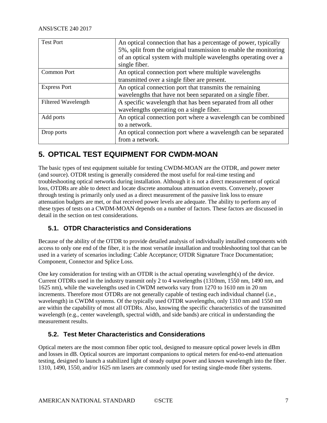| <b>Test Port</b>           | An optical connection that has a percentage of power, typically<br>5%, split from the original transmission to enable the monitoring<br>of an optical system with multiple wavelengths operating over a<br>single fiber. |
|----------------------------|--------------------------------------------------------------------------------------------------------------------------------------------------------------------------------------------------------------------------|
| <b>Common Port</b>         | An optical connection port where multiple wavelengths<br>transmitted over a single fiber are present.                                                                                                                    |
| <b>Express Port</b>        | An optical connection port that transmits the remaining<br>wavelengths that have not been separated on a single fiber.                                                                                                   |
| <b>Filtered Wavelength</b> | A specific wavelength that has been separated from all other<br>wavelengths operating on a single fiber.                                                                                                                 |
| Add ports                  | An optical connection port where a wavelength can be combined<br>to a network.                                                                                                                                           |
| Drop ports                 | An optical connection port where a wavelength can be separated<br>from a network.                                                                                                                                        |

## <span id="page-6-0"></span>**5. OPTICAL TEST EQUIPMENT FOR CWDM-MOAN**

The basic types of test equipment suitable for testing CWDM-MOAN are the OTDR, and power meter (and source). OTDR testing is generally considered the most useful for real-time testing and troubleshooting optical networks during installation. Although it is not a direct measurement of optical loss, OTDRs are able to detect and locate discrete anomalous attenuation events. Conversely, power through testing is primarily only used as a direct measurement of the passive link loss to ensure attenuation budgets are met, or that received power levels are adequate. The ability to perform any of these types of tests on a CWDM-MOAN depends on a number of factors. These factors are discussed in detail in the section on test considerations.

#### <span id="page-6-1"></span>**5.1. OTDR Characteristics and Considerations**

Because of the ability of the OTDR to provide detailed analysis of individually installed components with access to only one end of the fiber, it is the most versatile installation and troubleshooting tool that can be used in a variety of scenarios including: Cable Acceptance; OTDR Signature Trace Documentation; Component, Connector and Splice Loss.

One key consideration for testing with an OTDR is the actual operating wavelength(s) of the device. Current OTDRs used in the industry transmit only 2 to 4 wavelengths (1310nm, 1550 nm, 1490 nm, and 1625 nm), while the wavelengths used in CWDM networks vary from 1270 to 1610 nm in 20 nm increments. Therefore most OTDRs are not generally capable of testing each individual channel (i.e., wavelength) in CWDM systems. Of the typically used OTDR wavelengths, only 1310 nm and 1550 nm are within the capability of most all OTDRs. Also, knowing the specific characteristics of the transmitted wavelength (e.g., center wavelength, spectral width, and side bands) are critical in understanding the measurement results.

#### <span id="page-6-2"></span>**5.2. Test Meter Characteristics and Considerations**

Optical meters are the most common fiber optic tool, designed to measure optical power levels in dBm and losses in dB. Optical sources are important companions to optical meters for end-to-end attenuation testing, designed to launch a stabilized light of steady output power and known wavelength into the fiber. 1310, 1490, 1550, and/or 1625 nm lasers are commonly used for testing single-mode fiber systems.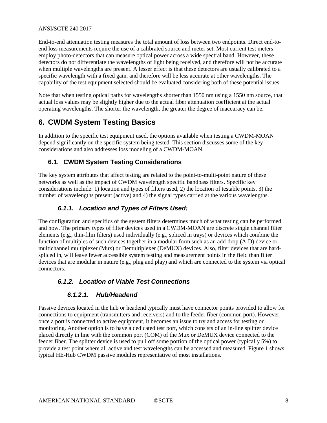#### ANSI/SCTE 240 2017

End-to-end attenuation testing measures the total amount of loss between two endpoints. Direct end-toend loss measurements require the use of a calibrated source and meter set. Most current test meters employ photo-detectors that can measure optical power across a wide spectral band. However, these detectors do not differentiate the wavelengths of light being received, and therefore will not be accurate when multiple wavelengths are present. A lesser effect is that these detectors are usually calibrated to a specific wavelength with a fixed gain, and therefore will be less accurate at other wavelengths. The capability of the test equipment selected should be evaluated considering both of these potential issues.

Note that when testing optical paths for wavelengths shorter than 1550 nm using a 1550 nm source, that actual loss values may be slightly higher due to the actual fiber attenuation coefficient at the actual operating wavelengths. The shorter the wavelength, the greater the degree of inaccuracy can be.

# <span id="page-7-0"></span>**6. CWDM System Testing Basics**

In addition to the specific test equipment used, the options available when testing a CWDM-MOAN depend significantly on the specific system being tested. This section discusses some of the key considerations and also addresses loss modeling of a CWDM-MOAN.

#### <span id="page-7-1"></span>**6.1. CWDM System Testing Considerations**

The key system attributes that affect testing are related to the point-to-multi-point nature of these networks as well as the impact of CWDM wavelength specific bandpass filters. Specific key considerations include: 1) location and types of filters used, 2) the location of testable points, 3) the number of wavelengths present (active) and 4) the signal types carried at the various wavelengths.

#### *6.1.1. Location and Types of Filters Used:*

<span id="page-7-2"></span>The configuration and specifics of the system filters determines much of what testing can be performed and how. The primary types of filter devices used in a CWDM-MOAN are discrete single channel filter elements (e.g., thin-film filters) used individually (e.g., spliced in trays) or devices which combine the function of multiples of such devices together in a modular form such as an add-drop (A-D) device or multichannel multiplexer (Mux) or Demultiplexer (DeMUX) devices. Also, filter devices that are hardspliced in, will leave fewer accessible system testing and measurement points in the field than filter devices that are modular in nature (e.g., plug and play) and which are connected to the system via optical connectors.

### <span id="page-7-3"></span>*6.1.2. Location of Viable Test Connections*

#### *6.1.2.1. Hub/Headend*

Passive devices located in the hub or headend typically must have connector points provided to allow for connections to equipment (transmitters and receivers) and to the feeder fiber (common port). However, once a port is connected to active equipment, it becomes an issue to try and access for testing or monitoring. Another option is to have a dedicated test port, which consists of an in-line splitter device placed directly in line with the common port (COM) of the Mux or DeMUX device connected to the feeder fiber. The splitter device is used to pull off some portion of the optical power (typically 5%) to provide a test point where all active and test wavelengths can be accessed and measured. [Figure 1](#page-8-3) shows typical HE-Hub CWDM passive modules representative of most installations.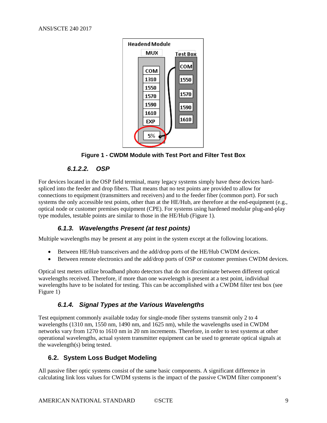

**Figure 1 - CWDM Module with Test Port and Filter Test Box**

#### *6.1.2.2. OSP*

<span id="page-8-3"></span>For devices located in the OSP field terminal, many legacy systems simply have these devices hardspliced into the feeder and drop fibers. That means that no test points are provided to allow for connections to equipment (transmitters and receivers) and to the feeder fiber (common port). For such systems the only accessible test points, other than at the HE/Hub, are therefore at the end-equipment (e.g., optical node or customer premises equipment (CPE). For systems using hardened modular plug-and-play type modules, testable points are similar to those in the HE/Hub [\(Figure 1\)](#page-8-3).

#### *6.1.3. Wavelengths Present (at test points)*

<span id="page-8-0"></span>Multiple wavelengths may be present at any point in the system except at the following locations.

- Between HE/Hub transceivers and the add/drop ports of the HE/Hub CWDM devices.
- Between remote electronics and the add/drop ports of OSP or customer premises CWDM devices.

Optical test meters utilize broadband photo detectors that do not discriminate between different optical wavelengths received. Therefore, if more than one wavelength is present at a test point, individual wavelengths have to be isolated for testing. This can be accomplished with a CWDM filter test box (see [Figure 1\)](#page-8-3)

#### *6.1.4. Signal Types at the Various Wavelengths*

<span id="page-8-1"></span>Test equipment commonly available today for single-mode fiber systems transmit only 2 to 4 wavelengths (1310 nm, 1550 nm, 1490 nm, and 1625 nm), while the wavelengths used in CWDM networks vary from 1270 to 1610 nm in 20 nm increments. Therefore, in order to test systems at other operational wavelengths, actual system transmitter equipment can be used to generate optical signals at the wavelength(s) being tested.

#### <span id="page-8-2"></span>**6.2. System Loss Budget Modeling**

All passive fiber optic systems consist of the same basic components. A significant difference in calculating link loss values for CWDM systems is the impact of the passive CWDM filter component's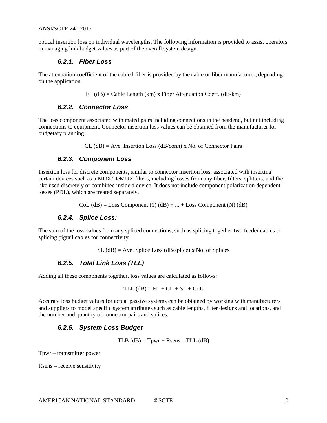<span id="page-9-0"></span>optical insertion loss on individual wavelengths. The following information is provided to assist operators in managing link budget values as part of the overall system design.

#### *6.2.1. Fiber Loss*

The attenuation coefficient of the cabled fiber is provided by the cable or fiber manufacturer, depending on the application.

FL (dB) = Cable Length (km) **x** Fiber Attenuation Coeff. (dB/km)

#### *6.2.2. Connector Loss*

<span id="page-9-1"></span>The loss component associated with mated pairs including connections in the headend, but not including connections to equipment. Connector insertion loss values can be obtained from the manufacturer for budgetary planning.

CL (dB) = Ave. Insertion Loss (dB/conn) **x** No. of Connector Pairs

#### *6.2.3. Component Loss*

<span id="page-9-2"></span>Insertion loss for discrete components, similar to connector insertion loss, associated with inserting certain devices such as a MUX/DeMUX filters, including losses from any fiber, filters, splitters, and the like used discretely or combined inside a device. It does not include component polarization dependent losses (PDL), which are treated separately.

 $Col (dB) = Loss Component (1) (dB) + ... + Loss Component (N) (dB)$ 

#### *6.2.4. Splice Loss:*

<span id="page-9-3"></span>The sum of the loss values from any spliced connections, such as splicing together two feeder cables or splicing pigtail cables for connectivity.

SL (dB) = Ave. Splice Loss (dB/splice) **x** No. of Splices

#### *6.2.5. Total Link Loss (TLL)*

<span id="page-9-4"></span>Adding all these components together, loss values are calculated as follows:

$$
TLL (dB) = FL + CL + SL + Col.
$$

<span id="page-9-5"></span>Accurate loss budget values for actual passive systems can be obtained by working with manufacturers and suppliers to model specific system attributes such as cable lengths, filter designs and locations, and the number and quantity of connector pairs and splices.

#### *6.2.6. System Loss Budget*

 $TLB$  (dB) = Tpwr + Rsens – TLL (dB)

Tpwr – tramsmitter power

Rsens – receive sensitivity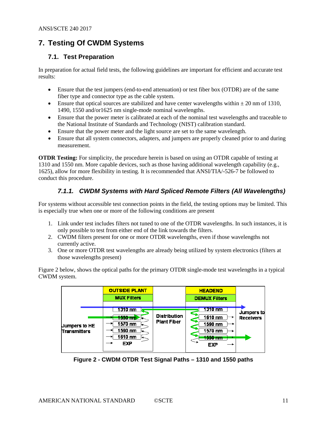# <span id="page-10-0"></span>**7. Testing Of CWDM Systems**

#### <span id="page-10-1"></span>**7.1. Test Preparation**

In preparation for actual field tests, the following guidelines are important for efficient and accurate test results:

- Ensure that the test jumpers (end-to-end attenuation) or test fiber box (OTDR) are of the same fiber type and connector type as the cable system.
- Ensure that optical sources are stabilized and have center wavelengths within  $\pm 20$  nm of 1310, 1490, 1550 and/or1625 nm single-mode nominal wavelengths.
- Ensure that the power meter is calibrated at each of the nominal test wavelengths and traceable to the National Institute of Standards and Technology (NIST) calibration standard.
- Ensure that the power meter and the light source are set to the same wavelength.
- Ensure that all system connectors, adapters, and jumpers are properly cleaned prior to and during measurement.

**OTDR Testing:** For simplicity, the procedure herein is based on using an OTDR capable of testing at 1310 and 1550 nm. More capable devices, such as those having additional wavelength capability (e.g., 1625), allow for more flexibility in testing. It is recommended that [ANSI/TIA/-526-7](#page-5-6) be followed to conduct this procedure.

#### *7.1.1. CWDM Systems with Hard Spliced Remote Filters (All Wavelengths)*

<span id="page-10-2"></span>For systems without accessible test connection points in the field, the testing options may be limited. This is especially true when one or more of the following conditions are present

- 1. Link under test includes filters not tuned to one of the OTDR wavelengths. In such instances, it is only possible to test from either end of the link towards the filters.
- 2. CWDM filters present for one or more OTDR wavelengths, even if those wavelengths not currently active.
- 3. One or more OTDR test wavelengths are already being utilized by system electronics (filters at those wavelengths present)

[Figure 2](#page-10-3) below, shows the optical paths for the primary OTDR single-mode test wavelengths in a typical CWDM system.



<span id="page-10-3"></span>**Figure 2 - CWDM OTDR Test Signal Paths – 1310 and 1550 paths**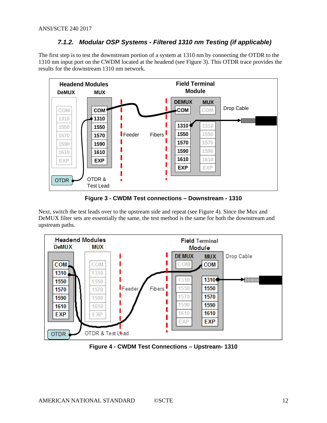#### *7.1.2. Modular OSP Systems - Filtered 1310 nm Testing (if applicable)*

<span id="page-11-0"></span>The first step is to test the downstream portion of a system at 1310 nm by connecting the OTDR to the 1310 nm input port on the CWDM located at the headend (see [Figure 3\)](#page-11-1). This OTDR trace provides the results for the downstream 1310 nm network.



**Figure 3 - CWDM Test connections – Downstream - 1310**

<span id="page-11-1"></span>Next, switch the test leads over to the upstream side and repeat (see [Figure 4\)](#page-11-2). Since the Mux and DeMUX filter sets are essentially the same, the test method is the same for both the downstream and upstream paths.



<span id="page-11-2"></span>**Figure 4 - CWDM Test Connections – Upstream- 1310**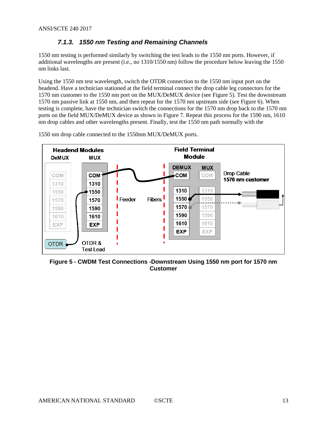#### *7.1.3. 1550 nm Testing and Remaining Channels*

<span id="page-12-0"></span>1550 nm testing is performed similarly by switching the test leads to the 1550 nm ports. However, if additional wavelengths are present (i.e., no 1310/1550 nm) follow the procedure below leaving the 1550 nm links last.

Using the 1550 nm test wavelength, switch the OTDR connection to the 1550 nm input port on the headend. Have a technician stationed at the field terminal connect the drop cable leg connectors for the 1570 nm customer to the 1550 nm port on the MUX/DeMUX device (see [Figure 5\)](#page-12-1). Test the downstream 1570 nm passive link at 1550 nm, and then repeat for the 1570 nm upstream side (see [Figure 6\)](#page-13-1). When testing is complete, have the technician switch the connections for the 1570 nm drop back to the 1570 nm ports on the field MUX/DeMUX device as shown i[n Figure 7.](#page-13-2) Repeat this process for the 1590 nm, 1610 nm drop cables and other wavelengths present. Finally, test the 1550 nm path normally with the



1550 nm drop cable connected to the 1550nm MUX/DeMUX ports.

<span id="page-12-1"></span>**Figure 5 - CWDM Test Connections -Downstream Using 1550 nm port for 1570 nm Customer**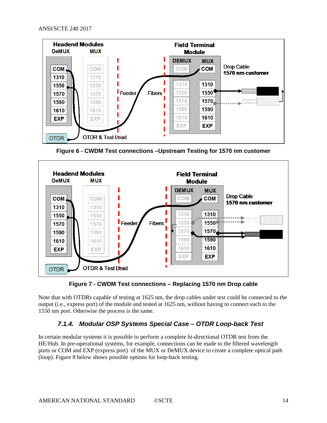

**Figure 6 - CWDM Test connections –Upstream Testing for 1570 nm customer**

<span id="page-13-1"></span>

**Figure 7 - CWDM Test connections – Replacing 1570 nm Drop cable**

<span id="page-13-2"></span><span id="page-13-0"></span>Note that with OTDRs capable of testing at 1625 nm, the drop cables under test could be connected to the output (i.e., express port) of the module and tested at 1625 nm, without having to connect each to the 1550 nm port. Otherwise the process is the same.

#### *7.1.4. Modular OSP Systems Special Case – OTDR Loop-back Test*

In certain modular systems it is possible to perform a complete bi-directional OTDR test from the HE/Hub. In pre-operational systems, for example, connections can be made to the filtered wavelength ports or COM and EXP (express port) of the MUX or DeMUX device to create a complete optical path (loop). [Figure 8](#page-14-2) below shows possible options for loop-back testing.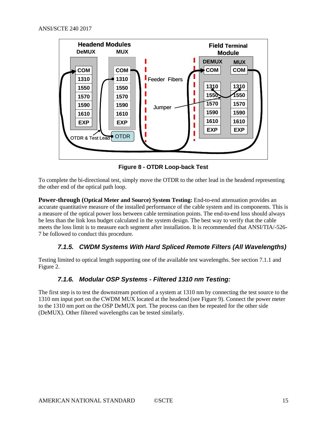

**Figure 8 - OTDR Loop-back Test**

<span id="page-14-2"></span>To complete the bi-directional test, simply move the OTDR to the other lead in the headend representing the other end of the optical path loop.

**Power-through (Optical Meter and Source) System Testing:** End-to-end attenuation provides an accurate quantitative measure of the installed performance of the cable system and its components. This is a measure of the optical power loss between cable termination points. The end-to-end loss should always be less than the link loss budget calculated in the system design. The best way to verify that the cable meets the loss limit is to measure each segment after installation. It is recommended that [ANSI/TIA/-526-](#page-5-6) [7](#page-5-6) be followed to conduct this procedure.

#### *7.1.5. CWDM Systems With Hard Spliced Remote Filters (All Wavelengths)*

<span id="page-14-1"></span><span id="page-14-0"></span>Testing limited to optical length supporting one of the available test wavelengths. See section [7.1.1](#page-10-2) and [Figure 2.](#page-10-3)

#### *7.1.6. Modular OSP Systems - Filtered 1310 nm Testing:*

The first step is to test the downstream portion of a system at 1310 nm by connecting the test source to the 1310 nm input port on the CWDM MUX located at the headend (see [Figure 9\)](#page-15-2). Connect the power meter to the 1310 nm port on the OSP DeMUX port. The process can then be repeated for the other side (DeMUX). Other filtered wavelengths can be tested similarly.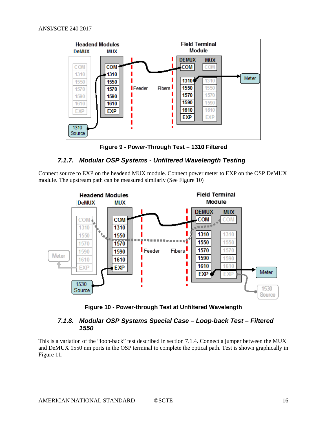

**Figure 9 - Power-Through Test – 1310 Filtered**

#### <span id="page-15-2"></span>*7.1.7. Modular OSP Systems - Unfiltered Wavelength Testing*

<span id="page-15-0"></span>Connect source to EXP on the headend MUX module. Connect power meter to EXP on the OSP DeMUX module. The upstream path can be measured similarly (See [Figure 10\)](#page-15-3)



**Figure 10 - Power-through Test at Unfiltered Wavelength**

#### <span id="page-15-3"></span><span id="page-15-1"></span>*7.1.8. Modular OSP Systems Special Case – Loop-back Test – Filtered 1550*

This is a variation of the "loop-back" test described in sectio[n 7.1.4.](#page-13-0) Connect a jumper between the MUX and DeMUX 1550 nm ports in the OSP terminal to complete the optical path. Test is shown graphically in [Figure 11.](#page-16-1)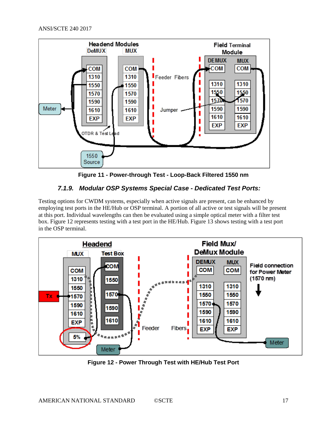

**Figure 11 - Power-through Test - Loop-Back Filtered 1550 nm**

#### <span id="page-16-1"></span>*7.1.9. Modular OSP Systems Special Case - Dedicated Test Ports:*

<span id="page-16-0"></span>Testing options for CWDM systems, especially when active signals are present, can be enhanced by employing test ports in the HE/Hub or OSP terminal. A portion of all active or test signals will be present at this port. Individual wavelengths can then be evaluated using a simple optical meter with a filter test box. [Figure 12](#page-16-2) represents testing with a test port in the HE/Hub[. Figure 13](#page-17-4) shows testing with a test port in the OSP terminal.



<span id="page-16-2"></span>**Figure 12 - Power Through Test with HE/Hub Test Port**